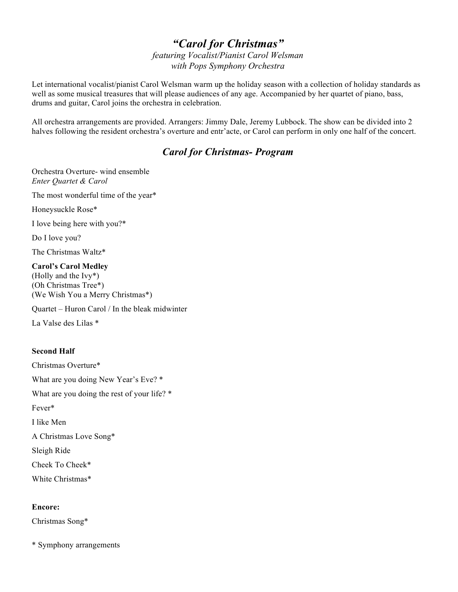# *"Carol for Christmas"*

*featuring Vocalist/Pianist Carol Welsman with Pops Symphony Orchestra*

Let international vocalist/pianist Carol Welsman warm up the holiday season with a collection of holiday standards as well as some musical treasures that will please audiences of any age. Accompanied by her quartet of piano, bass, drums and guitar, Carol joins the orchestra in celebration.

All orchestra arrangements are provided. Arrangers: Jimmy Dale, Jeremy Lubbock. The show can be divided into 2 halves following the resident orchestra's overture and entr'acte, or Carol can perform in only one half of the concert.

# *Carol for Christmas- Program*

Orchestra Overture- wind ensemble *Enter Quartet & Carol*

The most wonderful time of the year\*

Honeysuckle Rose\*

I love being here with you?\*

Do I love you?

The Christmas Waltz\*

#### **Carol's Carol Medley**

(Holly and the Ivy\*) (Oh Christmas Tree\*) (We Wish You a Merry Christmas\*)

Quartet – Huron Carol / In the bleak midwinter

La Valse des Lilas \*

## **Second Half**

Christmas Overture\* What are you doing New Year's Eve? \* What are you doing the rest of your life? \* Fever\* I like Men A Christmas Love Song\* Sleigh Ride Cheek To Cheek\*

White Christmas\*

### **Encore:**

Christmas Song\*

\* Symphony arrangements